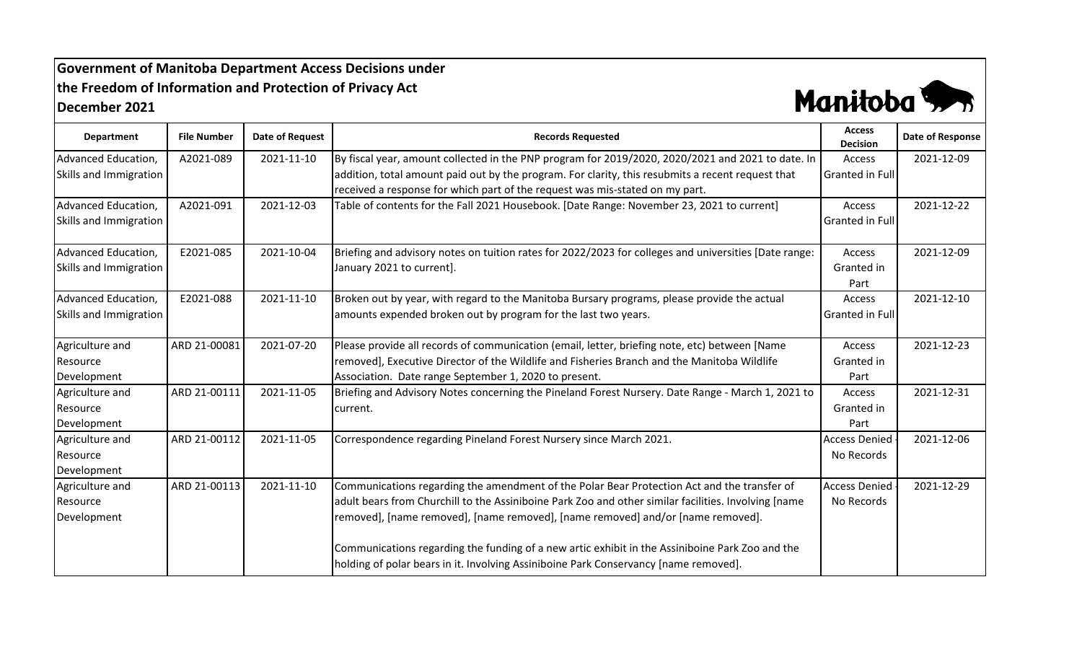## **Government of Manitoba Department Access Decisions under the Freedom of Information and Protection of Privacy Act December 2021**



| <b>Department</b>      | <b>File Number</b> | <b>Date of Request</b> | <b>Records Requested</b>                                                                              | <b>Access</b><br><b>Decision</b> | Date of Response |
|------------------------|--------------------|------------------------|-------------------------------------------------------------------------------------------------------|----------------------------------|------------------|
| Advanced Education,    | A2021-089          | 2021-11-10             | By fiscal year, amount collected in the PNP program for 2019/2020, 2020/2021 and 2021 to date. In     | Access                           | 2021-12-09       |
| Skills and Immigration |                    |                        | addition, total amount paid out by the program. For clarity, this resubmits a recent request that     | <b>Granted in Full</b>           |                  |
|                        |                    |                        | received a response for which part of the request was mis-stated on my part.                          |                                  |                  |
| Advanced Education,    | A2021-091          | 2021-12-03             | Table of contents for the Fall 2021 Housebook. [Date Range: November 23, 2021 to current]             | Access                           | 2021-12-22       |
| Skills and Immigration |                    |                        |                                                                                                       | <b>Granted in Full</b>           |                  |
| Advanced Education,    | E2021-085          | 2021-10-04             | Briefing and advisory notes on tuition rates for 2022/2023 for colleges and universities [Date range: | Access                           | 2021-12-09       |
| Skills and Immigration |                    |                        | January 2021 to current].                                                                             | Granted in                       |                  |
|                        |                    |                        |                                                                                                       | Part                             |                  |
| Advanced Education,    | E2021-088          | 2021-11-10             | Broken out by year, with regard to the Manitoba Bursary programs, please provide the actual           | Access                           | 2021-12-10       |
| Skills and Immigration |                    |                        | amounts expended broken out by program for the last two years.                                        | <b>Granted in Full</b>           |                  |
| Agriculture and        | ARD 21-00081       | 2021-07-20             | Please provide all records of communication (email, letter, briefing note, etc) between [Name         | Access                           | 2021-12-23       |
| Resource               |                    |                        | removed], Executive Director of the Wildlife and Fisheries Branch and the Manitoba Wildlife           | Granted in                       |                  |
| Development            |                    |                        | Association. Date range September 1, 2020 to present.                                                 | Part                             |                  |
| Agriculture and        | ARD 21-00111       | 2021-11-05             | Briefing and Advisory Notes concerning the Pineland Forest Nursery. Date Range - March 1, 2021 to     | Access                           | 2021-12-31       |
| Resource               |                    |                        | current.                                                                                              | Granted in                       |                  |
| Development            |                    |                        |                                                                                                       | Part                             |                  |
| Agriculture and        | ARD 21-00112       | 2021-11-05             | Correspondence regarding Pineland Forest Nursery since March 2021.                                    | <b>Access Denied</b>             | 2021-12-06       |
| Resource               |                    |                        |                                                                                                       | No Records                       |                  |
| Development            |                    |                        |                                                                                                       |                                  |                  |
| Agriculture and        | ARD 21-00113       | 2021-11-10             | Communications regarding the amendment of the Polar Bear Protection Act and the transfer of           | <b>Access Denied</b>             | 2021-12-29       |
| Resource               |                    |                        | adult bears from Churchill to the Assiniboine Park Zoo and other similar facilities. Involving [name  | No Records                       |                  |
| Development            |                    |                        | removed], [name removed], [name removed], [name removed] and/or [name removed].                       |                                  |                  |
|                        |                    |                        | Communications regarding the funding of a new artic exhibit in the Assiniboine Park Zoo and the       |                                  |                  |
|                        |                    |                        | holding of polar bears in it. Involving Assiniboine Park Conservancy [name removed].                  |                                  |                  |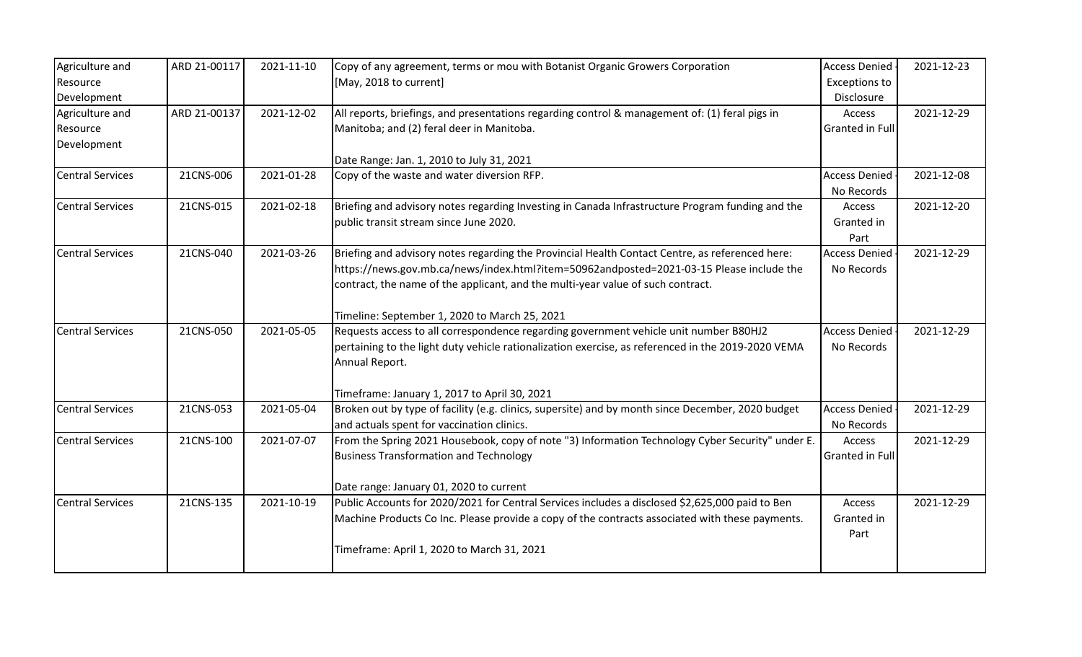| Agriculture and<br>Resource<br>Development | ARD 21-00117 | 2021-11-10 | Copy of any agreement, terms or mou with Botanist Organic Growers Corporation<br>[May, 2018 to current]                                                                                                                                                                        | <b>Access Denied</b><br><b>Exceptions to</b><br>Disclosure | 2021-12-23 |
|--------------------------------------------|--------------|------------|--------------------------------------------------------------------------------------------------------------------------------------------------------------------------------------------------------------------------------------------------------------------------------|------------------------------------------------------------|------------|
| Agriculture and<br>Resource<br>Development | ARD 21-00137 | 2021-12-02 | All reports, briefings, and presentations regarding control & management of: (1) feral pigs in<br>Manitoba; and (2) feral deer in Manitoba.                                                                                                                                    | Access<br><b>Granted in Full</b>                           | 2021-12-29 |
|                                            |              |            | Date Range: Jan. 1, 2010 to July 31, 2021                                                                                                                                                                                                                                      |                                                            |            |
| <b>Central Services</b>                    | 21CNS-006    | 2021-01-28 | Copy of the waste and water diversion RFP.                                                                                                                                                                                                                                     | <b>Access Denied</b><br>No Records                         | 2021-12-08 |
| <b>Central Services</b>                    | 21CNS-015    | 2021-02-18 | Briefing and advisory notes regarding Investing in Canada Infrastructure Program funding and the<br>public transit stream since June 2020.                                                                                                                                     | Access<br>Granted in<br>Part                               | 2021-12-20 |
| <b>Central Services</b>                    | 21CNS-040    | 2021-03-26 | Briefing and advisory notes regarding the Provincial Health Contact Centre, as referenced here:<br>https://news.gov.mb.ca/news/index.html?item=50962andposted=2021-03-15 Please include the<br>contract, the name of the applicant, and the multi-year value of such contract. | <b>Access Denied</b><br>No Records                         | 2021-12-29 |
|                                            |              |            | Timeline: September 1, 2020 to March 25, 2021                                                                                                                                                                                                                                  |                                                            |            |
| <b>Central Services</b>                    | 21CNS-050    | 2021-05-05 | Requests access to all correspondence regarding government vehicle unit number B80HJ2<br>pertaining to the light duty vehicle rationalization exercise, as referenced in the 2019-2020 VEMA<br>Annual Report.                                                                  | <b>Access Denied</b><br>No Records                         | 2021-12-29 |
|                                            |              |            | Timeframe: January 1, 2017 to April 30, 2021                                                                                                                                                                                                                                   |                                                            |            |
| <b>Central Services</b>                    | 21CNS-053    | 2021-05-04 | Broken out by type of facility (e.g. clinics, supersite) and by month since December, 2020 budget<br>and actuals spent for vaccination clinics.                                                                                                                                | <b>Access Denied</b><br>No Records                         | 2021-12-29 |
| <b>Central Services</b>                    | 21CNS-100    | 2021-07-07 | From the Spring 2021 Housebook, copy of note "3) Information Technology Cyber Security" under E.<br><b>Business Transformation and Technology</b>                                                                                                                              | Access<br><b>Granted in Full</b>                           | 2021-12-29 |
|                                            |              |            | Date range: January 01, 2020 to current                                                                                                                                                                                                                                        |                                                            |            |
| <b>Central Services</b>                    | 21CNS-135    | 2021-10-19 | Public Accounts for 2020/2021 for Central Services includes a disclosed \$2,625,000 paid to Ben<br>Machine Products Co Inc. Please provide a copy of the contracts associated with these payments.<br>Timeframe: April 1, 2020 to March 31, 2021                               | Access<br>Granted in<br>Part                               | 2021-12-29 |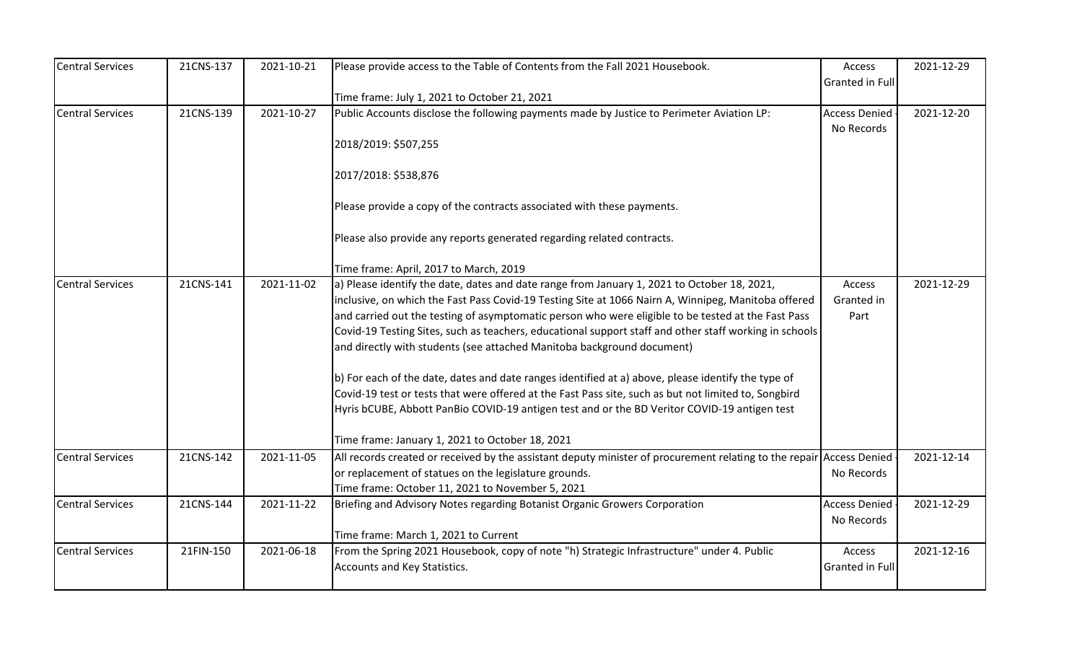| <b>Central Services</b> | 21CNS-137 | 2021-10-21 | Please provide access to the Table of Contents from the Fall 2021 Housebook.                                                              | Access               | 2021-12-29 |
|-------------------------|-----------|------------|-------------------------------------------------------------------------------------------------------------------------------------------|----------------------|------------|
|                         |           |            |                                                                                                                                           | Granted in Full      |            |
| <b>Central Services</b> | 21CNS-139 | 2021-10-27 | Time frame: July 1, 2021 to October 21, 2021<br>Public Accounts disclose the following payments made by Justice to Perimeter Aviation LP: | <b>Access Denied</b> | 2021-12-20 |
|                         |           |            |                                                                                                                                           | No Records           |            |
|                         |           |            | 2018/2019: \$507,255                                                                                                                      |                      |            |
|                         |           |            |                                                                                                                                           |                      |            |
|                         |           |            | 2017/2018: \$538,876                                                                                                                      |                      |            |
|                         |           |            | Please provide a copy of the contracts associated with these payments.                                                                    |                      |            |
|                         |           |            | Please also provide any reports generated regarding related contracts.                                                                    |                      |            |
|                         |           |            | Time frame: April, 2017 to March, 2019                                                                                                    |                      |            |
| <b>Central Services</b> | 21CNS-141 | 2021-11-02 | a) Please identify the date, dates and date range from January 1, 2021 to October 18, 2021,                                               | Access               | 2021-12-29 |
|                         |           |            | inclusive, on which the Fast Pass Covid-19 Testing Site at 1066 Nairn A, Winnipeg, Manitoba offered                                       | Granted in           |            |
|                         |           |            | and carried out the testing of asymptomatic person who were eligible to be tested at the Fast Pass                                        | Part                 |            |
|                         |           |            | Covid-19 Testing Sites, such as teachers, educational support staff and other staff working in schools                                    |                      |            |
|                         |           |            | and directly with students (see attached Manitoba background document)                                                                    |                      |            |
|                         |           |            | b) For each of the date, dates and date ranges identified at a) above, please identify the type of                                        |                      |            |
|                         |           |            | Covid-19 test or tests that were offered at the Fast Pass site, such as but not limited to, Songbird                                      |                      |            |
|                         |           |            | Hyris bCUBE, Abbott PanBio COVID-19 antigen test and or the BD Veritor COVID-19 antigen test                                              |                      |            |
|                         |           |            | Time frame: January 1, 2021 to October 18, 2021                                                                                           |                      |            |
| <b>Central Services</b> | 21CNS-142 | 2021-11-05 | All records created or received by the assistant deputy minister of procurement relating to the repair Access Denied                      |                      | 2021-12-14 |
|                         |           |            | or replacement of statues on the legislature grounds.                                                                                     | No Records           |            |
|                         |           |            | Time frame: October 11, 2021 to November 5, 2021                                                                                          |                      |            |
| <b>Central Services</b> | 21CNS-144 | 2021-11-22 | Briefing and Advisory Notes regarding Botanist Organic Growers Corporation                                                                | <b>Access Denied</b> | 2021-12-29 |
|                         |           |            |                                                                                                                                           | No Records           |            |
|                         |           |            | Time frame: March 1, 2021 to Current                                                                                                      |                      |            |
| <b>Central Services</b> | 21FIN-150 | 2021-06-18 | From the Spring 2021 Housebook, copy of note "h) Strategic Infrastructure" under 4. Public                                                | Access               | 2021-12-16 |
|                         |           |            | Accounts and Key Statistics.                                                                                                              | Granted in Full      |            |
|                         |           |            |                                                                                                                                           |                      |            |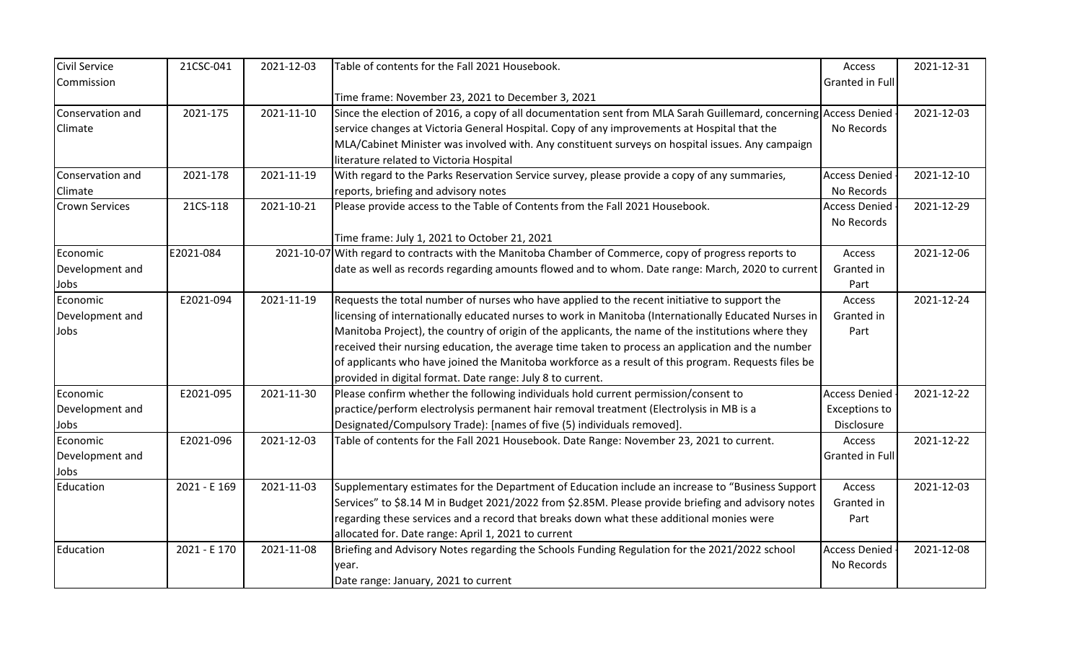| <b>Civil Service</b>  | 21CSC-041    | 2021-12-03 | Table of contents for the Fall 2021 Housebook.                                                                   | Access               | 2021-12-31 |
|-----------------------|--------------|------------|------------------------------------------------------------------------------------------------------------------|----------------------|------------|
| Commission            |              |            |                                                                                                                  | Granted in Full      |            |
|                       |              |            | Time frame: November 23, 2021 to December 3, 2021                                                                |                      |            |
| Conservation and      | 2021-175     | 2021-11-10 | Since the election of 2016, a copy of all documentation sent from MLA Sarah Guillemard, concerning Access Denied |                      | 2021-12-03 |
| Climate               |              |            | service changes at Victoria General Hospital. Copy of any improvements at Hospital that the                      | No Records           |            |
|                       |              |            | MLA/Cabinet Minister was involved with. Any constituent surveys on hospital issues. Any campaign                 |                      |            |
|                       |              |            | literature related to Victoria Hospital                                                                          |                      |            |
| Conservation and      | 2021-178     | 2021-11-19 | With regard to the Parks Reservation Service survey, please provide a copy of any summaries,                     | <b>Access Denied</b> | 2021-12-10 |
| Climate               |              |            | reports, briefing and advisory notes                                                                             | No Records           |            |
| <b>Crown Services</b> | 21CS-118     | 2021-10-21 | Please provide access to the Table of Contents from the Fall 2021 Housebook.                                     | <b>Access Denied</b> | 2021-12-29 |
|                       |              |            |                                                                                                                  | No Records           |            |
|                       |              |            | Time frame: July 1, 2021 to October 21, 2021                                                                     |                      |            |
| Economic              | E2021-084    |            | 2021-10-07 With regard to contracts with the Manitoba Chamber of Commerce, copy of progress reports to           | Access               | 2021-12-06 |
| Development and       |              |            | date as well as records regarding amounts flowed and to whom. Date range: March, 2020 to current                 | Granted in           |            |
| Jobs                  |              |            |                                                                                                                  | Part                 |            |
| Economic              | E2021-094    | 2021-11-19 | Requests the total number of nurses who have applied to the recent initiative to support the                     | Access               | 2021-12-24 |
| Development and       |              |            | licensing of internationally educated nurses to work in Manitoba (Internationally Educated Nurses in             | Granted in           |            |
| Jobs                  |              |            | Manitoba Project), the country of origin of the applicants, the name of the institutions where they              | Part                 |            |
|                       |              |            | received their nursing education, the average time taken to process an application and the number                |                      |            |
|                       |              |            | of applicants who have joined the Manitoba workforce as a result of this program. Requests files be              |                      |            |
|                       |              |            | provided in digital format. Date range: July 8 to current.                                                       |                      |            |
| Economic              | E2021-095    | 2021-11-30 | Please confirm whether the following individuals hold current permission/consent to                              | <b>Access Denied</b> | 2021-12-22 |
| Development and       |              |            | practice/perform electrolysis permanent hair removal treatment (Electrolysis in MB is a                          | <b>Exceptions to</b> |            |
| Jobs                  |              |            | Designated/Compulsory Trade): [names of five (5) individuals removed].                                           | Disclosure           |            |
| Economic              | E2021-096    | 2021-12-03 | Table of contents for the Fall 2021 Housebook. Date Range: November 23, 2021 to current.                         | Access               | 2021-12-22 |
| Development and       |              |            |                                                                                                                  | Granted in Full      |            |
| Jobs                  |              |            |                                                                                                                  |                      |            |
| Education             | 2021 - E 169 | 2021-11-03 | Supplementary estimates for the Department of Education include an increase to "Business Support                 | Access               | 2021-12-03 |
|                       |              |            | Services" to \$8.14 M in Budget 2021/2022 from \$2.85M. Please provide briefing and advisory notes               | Granted in           |            |
|                       |              |            | regarding these services and a record that breaks down what these additional monies were                         | Part                 |            |
|                       |              |            | allocated for. Date range: April 1, 2021 to current                                                              |                      |            |
| Education             | 2021 - E 170 | 2021-11-08 | Briefing and Advisory Notes regarding the Schools Funding Regulation for the 2021/2022 school                    | <b>Access Denied</b> | 2021-12-08 |
|                       |              |            | vear.                                                                                                            | No Records           |            |
|                       |              |            | Date range: January, 2021 to current                                                                             |                      |            |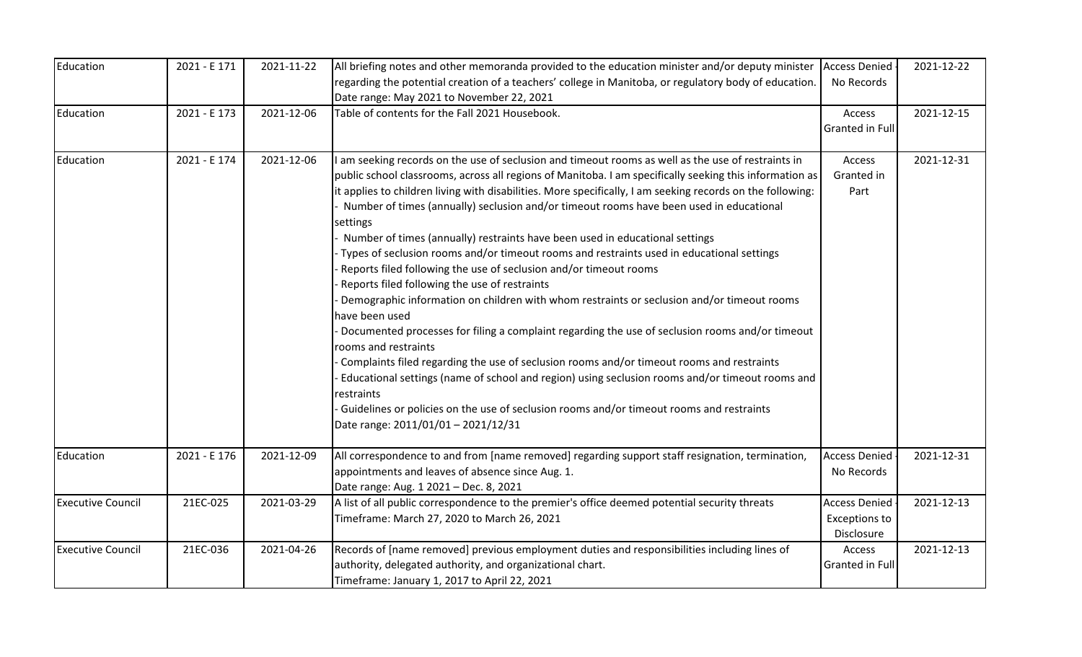| Education                | 2021 - E 171 | 2021-11-22 | All briefing notes and other memoranda provided to the education minister and/or deputy minister<br>regarding the potential creation of a teachers' college in Manitoba, or regulatory body of education.<br>Date range: May 2021 to November 22, 2021                                                                                                                                                                                                                                                                                                                                                                                                                                                                                                                                                                                                                                                                                                                                                                                                                                                                                                                                                                                                                                                                          | <b>Access Denied</b><br>No Records                         | 2021-12-22 |
|--------------------------|--------------|------------|---------------------------------------------------------------------------------------------------------------------------------------------------------------------------------------------------------------------------------------------------------------------------------------------------------------------------------------------------------------------------------------------------------------------------------------------------------------------------------------------------------------------------------------------------------------------------------------------------------------------------------------------------------------------------------------------------------------------------------------------------------------------------------------------------------------------------------------------------------------------------------------------------------------------------------------------------------------------------------------------------------------------------------------------------------------------------------------------------------------------------------------------------------------------------------------------------------------------------------------------------------------------------------------------------------------------------------|------------------------------------------------------------|------------|
| Education                | 2021 - E 173 | 2021-12-06 | Table of contents for the Fall 2021 Housebook.                                                                                                                                                                                                                                                                                                                                                                                                                                                                                                                                                                                                                                                                                                                                                                                                                                                                                                                                                                                                                                                                                                                                                                                                                                                                                  | Access<br>Granted in Full                                  | 2021-12-15 |
| Education                | 2021 - E 174 | 2021-12-06 | am seeking records on the use of seclusion and timeout rooms as well as the use of restraints in<br>public school classrooms, across all regions of Manitoba. I am specifically seeking this information as<br>it applies to children living with disabilities. More specifically, I am seeking records on the following:<br>Number of times (annually) seclusion and/or timeout rooms have been used in educational<br>settings<br>Number of times (annually) restraints have been used in educational settings<br>Types of seclusion rooms and/or timeout rooms and restraints used in educational settings<br>Reports filed following the use of seclusion and/or timeout rooms<br>Reports filed following the use of restraints<br>Demographic information on children with whom restraints or seclusion and/or timeout rooms<br>have been used<br>Documented processes for filing a complaint regarding the use of seclusion rooms and/or timeout<br>rooms and restraints<br>Complaints filed regarding the use of seclusion rooms and/or timeout rooms and restraints<br>Educational settings (name of school and region) using seclusion rooms and/or timeout rooms and<br>restraints<br>Guidelines or policies on the use of seclusion rooms and/or timeout rooms and restraints<br>Date range: 2011/01/01 - 2021/12/31 | Access<br>Granted in<br>Part                               | 2021-12-31 |
| Education                | 2021 - E 176 | 2021-12-09 | All correspondence to and from [name removed] regarding support staff resignation, termination,<br>appointments and leaves of absence since Aug. 1.<br>Date range: Aug. 1 2021 - Dec. 8, 2021                                                                                                                                                                                                                                                                                                                                                                                                                                                                                                                                                                                                                                                                                                                                                                                                                                                                                                                                                                                                                                                                                                                                   | <b>Access Denied</b><br>No Records                         | 2021-12-31 |
| <b>Executive Council</b> | 21EC-025     | 2021-03-29 | A list of all public correspondence to the premier's office deemed potential security threats<br>Timeframe: March 27, 2020 to March 26, 2021                                                                                                                                                                                                                                                                                                                                                                                                                                                                                                                                                                                                                                                                                                                                                                                                                                                                                                                                                                                                                                                                                                                                                                                    | <b>Access Denied</b><br><b>Exceptions to</b><br>Disclosure | 2021-12-13 |
| <b>Executive Council</b> | 21EC-036     | 2021-04-26 | Records of [name removed] previous employment duties and responsibilities including lines of<br>authority, delegated authority, and organizational chart.<br>Timeframe: January 1, 2017 to April 22, 2021                                                                                                                                                                                                                                                                                                                                                                                                                                                                                                                                                                                                                                                                                                                                                                                                                                                                                                                                                                                                                                                                                                                       | Access<br>Granted in Full                                  | 2021-12-13 |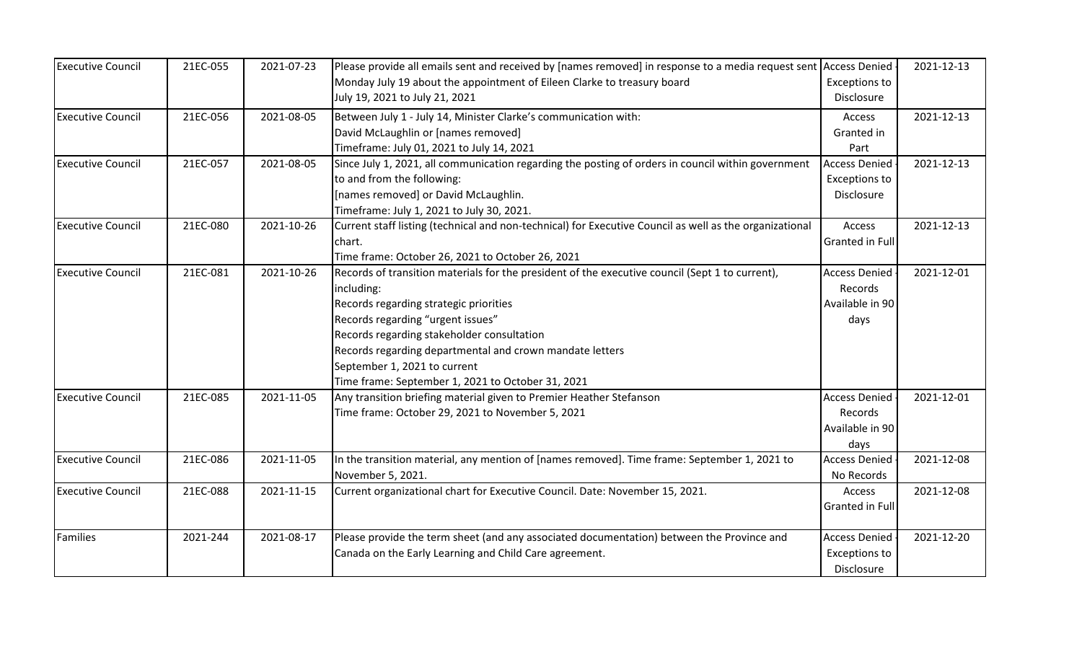| <b>Executive Council</b> | 21EC-055 | 2021-07-23 | Please provide all emails sent and received by [names removed] in response to a media request sent      | <b>Access Denied</b>   | 2021-12-13 |
|--------------------------|----------|------------|---------------------------------------------------------------------------------------------------------|------------------------|------------|
|                          |          |            | Monday July 19 about the appointment of Eileen Clarke to treasury board                                 | <b>Exceptions to</b>   |            |
|                          |          |            | July 19, 2021 to July 21, 2021                                                                          | <b>Disclosure</b>      |            |
| <b>Executive Council</b> | 21EC-056 | 2021-08-05 | Between July 1 - July 14, Minister Clarke's communication with:                                         | Access                 | 2021-12-13 |
|                          |          |            | David McLaughlin or [names removed]                                                                     | Granted in             |            |
|                          |          |            | Timeframe: July 01, 2021 to July 14, 2021                                                               | Part                   |            |
| <b>Executive Council</b> | 21EC-057 | 2021-08-05 | Since July 1, 2021, all communication regarding the posting of orders in council within government      | <b>Access Denied</b>   | 2021-12-13 |
|                          |          |            | to and from the following:                                                                              | <b>Exceptions to</b>   |            |
|                          |          |            | [names removed] or David McLaughlin.                                                                    | Disclosure             |            |
|                          |          |            | Timeframe: July 1, 2021 to July 30, 2021.                                                               |                        |            |
| <b>Executive Council</b> | 21EC-080 | 2021-10-26 | Current staff listing (technical and non-technical) for Executive Council as well as the organizational | Access                 | 2021-12-13 |
|                          |          |            | chart.                                                                                                  | <b>Granted in Full</b> |            |
|                          |          |            | Time frame: October 26, 2021 to October 26, 2021                                                        |                        |            |
| <b>Executive Council</b> | 21EC-081 | 2021-10-26 | Records of transition materials for the president of the executive council (Sept 1 to current),         | <b>Access Denied</b>   | 2021-12-01 |
|                          |          |            | including:                                                                                              | Records                |            |
|                          |          |            | Records regarding strategic priorities                                                                  | Available in 90        |            |
|                          |          |            | Records regarding "urgent issues"                                                                       | days                   |            |
|                          |          |            | Records regarding stakeholder consultation                                                              |                        |            |
|                          |          |            | Records regarding departmental and crown mandate letters                                                |                        |            |
|                          |          |            | September 1, 2021 to current                                                                            |                        |            |
|                          |          |            | Time frame: September 1, 2021 to October 31, 2021                                                       |                        |            |
| <b>Executive Council</b> | 21EC-085 | 2021-11-05 | Any transition briefing material given to Premier Heather Stefanson                                     | <b>Access Denied</b>   | 2021-12-01 |
|                          |          |            | Time frame: October 29, 2021 to November 5, 2021                                                        | Records                |            |
|                          |          |            |                                                                                                         | Available in 90        |            |
|                          |          |            |                                                                                                         | days                   |            |
| <b>Executive Council</b> | 21EC-086 | 2021-11-05 | In the transition material, any mention of [names removed]. Time frame: September 1, 2021 to            | <b>Access Denied</b>   | 2021-12-08 |
|                          |          |            | November 5, 2021.                                                                                       | No Records             |            |
| <b>Executive Council</b> | 21EC-088 | 2021-11-15 | Current organizational chart for Executive Council. Date: November 15, 2021.                            | Access                 | 2021-12-08 |
|                          |          |            |                                                                                                         | <b>Granted in Full</b> |            |
|                          |          |            |                                                                                                         |                        |            |
| Families                 | 2021-244 | 2021-08-17 | Please provide the term sheet (and any associated documentation) between the Province and               | <b>Access Denied</b>   | 2021-12-20 |
|                          |          |            | Canada on the Early Learning and Child Care agreement.                                                  | <b>Exceptions to</b>   |            |
|                          |          |            |                                                                                                         | Disclosure             |            |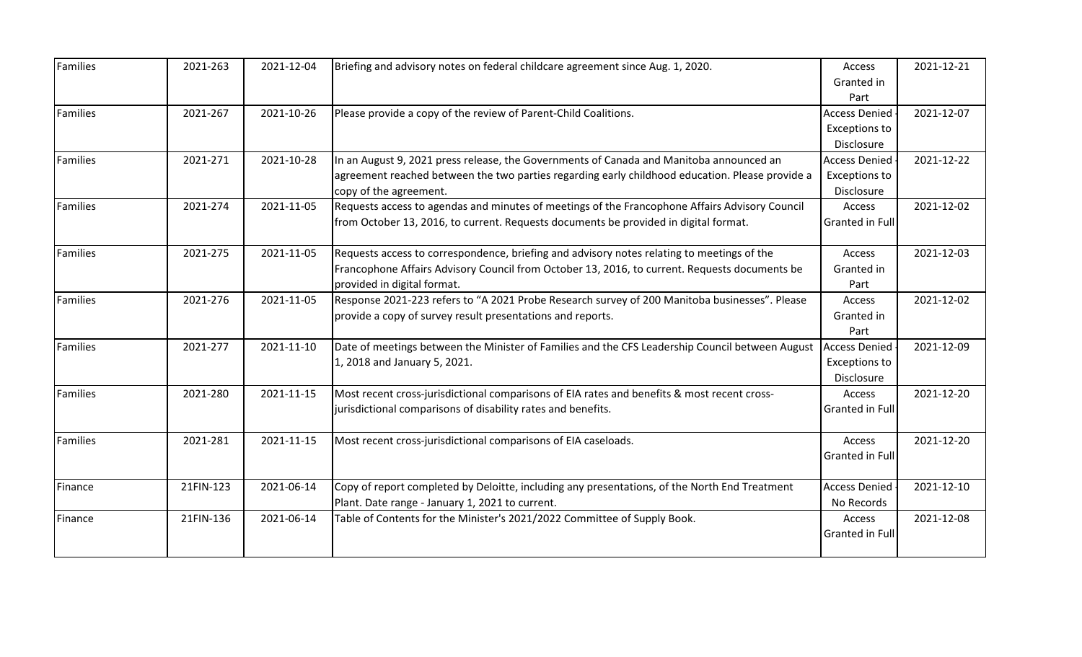| <b>Families</b> | 2021-263  | 2021-12-04 | Briefing and advisory notes on federal childcare agreement since Aug. 1, 2020.                  | Access                 | 2021-12-21 |
|-----------------|-----------|------------|-------------------------------------------------------------------------------------------------|------------------------|------------|
|                 |           |            |                                                                                                 | Granted in             |            |
|                 |           |            |                                                                                                 | Part                   |            |
| Families        | 2021-267  | 2021-10-26 | Please provide a copy of the review of Parent-Child Coalitions.                                 | <b>Access Denied</b>   | 2021-12-07 |
|                 |           |            |                                                                                                 | <b>Exceptions to</b>   |            |
|                 |           |            |                                                                                                 | Disclosure             |            |
| Families        | 2021-271  | 2021-10-28 | In an August 9, 2021 press release, the Governments of Canada and Manitoba announced an         | <b>Access Denied</b>   | 2021-12-22 |
|                 |           |            | agreement reached between the two parties regarding early childhood education. Please provide a | Exceptions to          |            |
|                 |           |            | copy of the agreement.                                                                          | Disclosure             |            |
| <b>Families</b> | 2021-274  | 2021-11-05 | Requests access to agendas and minutes of meetings of the Francophone Affairs Advisory Council  | Access                 | 2021-12-02 |
|                 |           |            | from October 13, 2016, to current. Requests documents be provided in digital format.            | Granted in Full        |            |
|                 |           |            |                                                                                                 |                        |            |
| <b>Families</b> | 2021-275  | 2021-11-05 | Requests access to correspondence, briefing and advisory notes relating to meetings of the      | Access                 | 2021-12-03 |
|                 |           |            | Francophone Affairs Advisory Council from October 13, 2016, to current. Requests documents be   | Granted in             |            |
|                 |           |            | provided in digital format.                                                                     | Part                   |            |
| <b>Families</b> | 2021-276  | 2021-11-05 | Response 2021-223 refers to "A 2021 Probe Research survey of 200 Manitoba businesses". Please   | Access                 | 2021-12-02 |
|                 |           |            | provide a copy of survey result presentations and reports.                                      | Granted in             |            |
|                 |           |            |                                                                                                 | Part                   |            |
| <b>Families</b> | 2021-277  | 2021-11-10 | Date of meetings between the Minister of Families and the CFS Leadership Council between August | <b>Access Denied</b>   | 2021-12-09 |
|                 |           |            | 1, 2018 and January 5, 2021.                                                                    | <b>Exceptions to</b>   |            |
|                 |           |            |                                                                                                 | Disclosure             |            |
| <b>Families</b> | 2021-280  | 2021-11-15 | Most recent cross-jurisdictional comparisons of EIA rates and benefits & most recent cross-     | Access                 | 2021-12-20 |
|                 |           |            | jurisdictional comparisons of disability rates and benefits.                                    | Granted in Full        |            |
| <b>Families</b> | 2021-281  | 2021-11-15 | Most recent cross-jurisdictional comparisons of EIA caseloads.                                  | Access                 | 2021-12-20 |
|                 |           |            |                                                                                                 | Granted in Full        |            |
|                 |           |            |                                                                                                 |                        |            |
| Finance         | 21FIN-123 | 2021-06-14 | Copy of report completed by Deloitte, including any presentations, of the North End Treatment   | <b>Access Denied</b>   | 2021-12-10 |
|                 |           |            | Plant. Date range - January 1, 2021 to current.                                                 | No Records             |            |
| Finance         | 21FIN-136 | 2021-06-14 | Table of Contents for the Minister's 2021/2022 Committee of Supply Book.                        | Access                 | 2021-12-08 |
|                 |           |            |                                                                                                 | <b>Granted in Full</b> |            |
|                 |           |            |                                                                                                 |                        |            |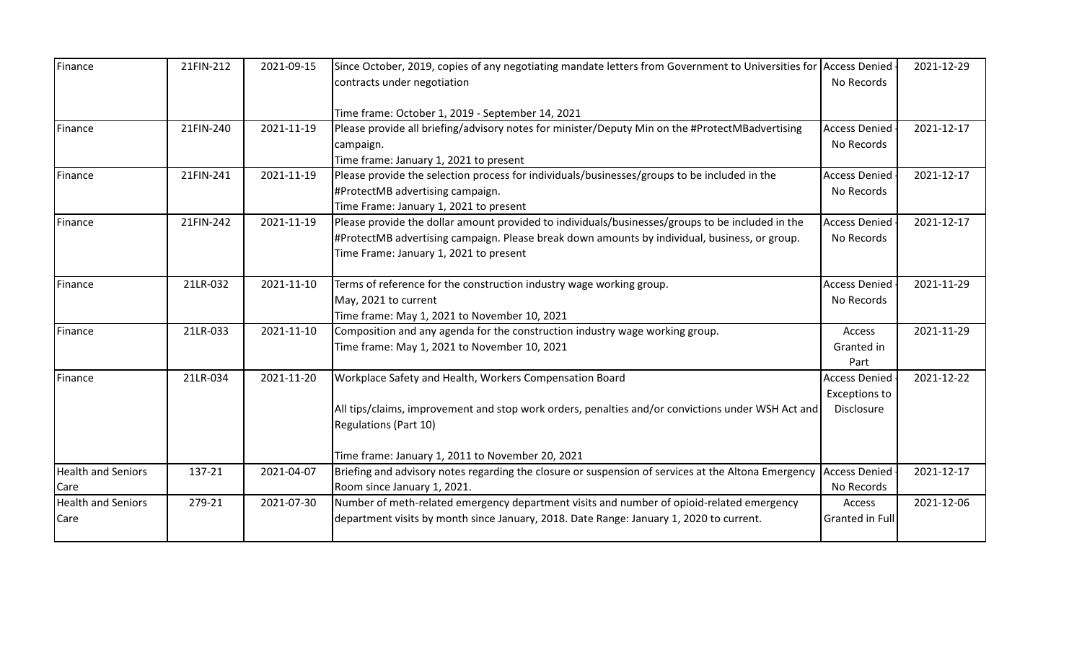| Finance                   | 21FIN-212 | 2021-09-15 | Since October, 2019, copies of any negotiating mandate letters from Government to Universities for Access Denied |                      | 2021-12-29 |
|---------------------------|-----------|------------|------------------------------------------------------------------------------------------------------------------|----------------------|------------|
|                           |           |            | contracts under negotiation                                                                                      | No Records           |            |
|                           |           |            | Time frame: October 1, 2019 - September 14, 2021                                                                 |                      |            |
| Finance                   | 21FIN-240 | 2021-11-19 | Please provide all briefing/advisory notes for minister/Deputy Min on the #ProtectMBadvertising                  | <b>Access Denied</b> | 2021-12-17 |
|                           |           |            | campaign.                                                                                                        | No Records           |            |
|                           |           |            | Time frame: January 1, 2021 to present                                                                           |                      |            |
| Finance                   | 21FIN-241 | 2021-11-19 | Please provide the selection process for individuals/businesses/groups to be included in the                     | <b>Access Denied</b> | 2021-12-17 |
|                           |           |            | #ProtectMB advertising campaign.                                                                                 | No Records           |            |
|                           |           |            | Time Frame: January 1, 2021 to present                                                                           |                      |            |
| Finance                   | 21FIN-242 | 2021-11-19 | Please provide the dollar amount provided to individuals/businesses/groups to be included in the                 | <b>Access Denied</b> | 2021-12-17 |
|                           |           |            | #ProtectMB advertising campaign. Please break down amounts by individual, business, or group.                    | No Records           |            |
|                           |           |            | Time Frame: January 1, 2021 to present                                                                           |                      |            |
| Finance                   | 21LR-032  | 2021-11-10 | Terms of reference for the construction industry wage working group.                                             | <b>Access Denied</b> | 2021-11-29 |
|                           |           |            | May, 2021 to current                                                                                             | No Records           |            |
|                           |           |            | Time frame: May 1, 2021 to November 10, 2021                                                                     |                      |            |
| Finance                   | 21LR-033  | 2021-11-10 | Composition and any agenda for the construction industry wage working group.                                     | Access               | 2021-11-29 |
|                           |           |            | Time frame: May 1, 2021 to November 10, 2021                                                                     | Granted in           |            |
|                           |           |            |                                                                                                                  | Part                 |            |
| Finance                   | 21LR-034  | 2021-11-20 | Workplace Safety and Health, Workers Compensation Board                                                          | <b>Access Denied</b> | 2021-12-22 |
|                           |           |            |                                                                                                                  | <b>Exceptions to</b> |            |
|                           |           |            | All tips/claims, improvement and stop work orders, penalties and/or convictions under WSH Act and                | Disclosure           |            |
|                           |           |            | Regulations (Part 10)                                                                                            |                      |            |
|                           |           |            | Time frame: January 1, 2011 to November 20, 2021                                                                 |                      |            |
| <b>Health and Seniors</b> | 137-21    | 2021-04-07 | Briefing and advisory notes regarding the closure or suspension of services at the Altona Emergency              | <b>Access Denied</b> | 2021-12-17 |
| Care                      |           |            | Room since January 1, 2021.                                                                                      | No Records           |            |
| <b>Health and Seniors</b> | 279-21    | 2021-07-30 | Number of meth-related emergency department visits and number of opioid-related emergency                        | Access               | 2021-12-06 |
| Care                      |           |            | department visits by month since January, 2018. Date Range: January 1, 2020 to current.                          | Granted in Full      |            |
|                           |           |            |                                                                                                                  |                      |            |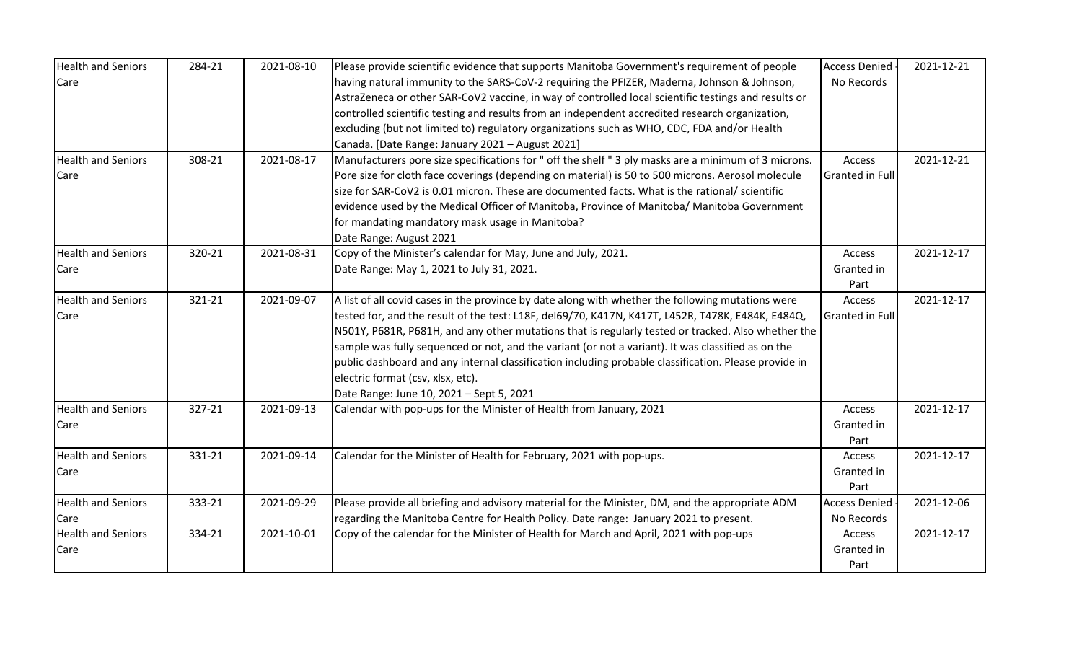| <b>Health and Seniors</b> | 284-21 | 2021-08-10 | Please provide scientific evidence that supports Manitoba Government's requirement of people          | <b>Access Denied</b>   | 2021-12-21 |
|---------------------------|--------|------------|-------------------------------------------------------------------------------------------------------|------------------------|------------|
| Care                      |        |            | having natural immunity to the SARS-CoV-2 requiring the PFIZER, Maderna, Johnson & Johnson,           | No Records             |            |
|                           |        |            | AstraZeneca or other SAR-CoV2 vaccine, in way of controlled local scientific testings and results or  |                        |            |
|                           |        |            | controlled scientific testing and results from an independent accredited research organization,       |                        |            |
|                           |        |            | excluding (but not limited to) regulatory organizations such as WHO, CDC, FDA and/or Health           |                        |            |
|                           |        |            | Canada. [Date Range: January 2021 - August 2021]                                                      |                        |            |
| <b>Health and Seniors</b> | 308-21 | 2021-08-17 | Manufacturers pore size specifications for " off the shelf " 3 ply masks are a minimum of 3 microns.  | Access                 | 2021-12-21 |
| Care                      |        |            | Pore size for cloth face coverings (depending on material) is 50 to 500 microns. Aerosol molecule     | <b>Granted in Full</b> |            |
|                           |        |            | size for SAR-CoV2 is 0.01 micron. These are documented facts. What is the rational/ scientific        |                        |            |
|                           |        |            | evidence used by the Medical Officer of Manitoba, Province of Manitoba/ Manitoba Government           |                        |            |
|                           |        |            | for mandating mandatory mask usage in Manitoba?                                                       |                        |            |
|                           |        |            | Date Range: August 2021                                                                               |                        |            |
| <b>Health and Seniors</b> | 320-21 | 2021-08-31 | Copy of the Minister's calendar for May, June and July, 2021.                                         | Access                 | 2021-12-17 |
| Care                      |        |            | Date Range: May 1, 2021 to July 31, 2021.                                                             | Granted in             |            |
|                           |        |            |                                                                                                       | Part                   |            |
| <b>Health and Seniors</b> | 321-21 | 2021-09-07 | A list of all covid cases in the province by date along with whether the following mutations were     | Access                 | 2021-12-17 |
| Care                      |        |            | tested for, and the result of the test: L18F, del69/70, K417N, K417T, L452R, T478K, E484K, E484Q,     | <b>Granted in Full</b> |            |
|                           |        |            | N501Y, P681R, P681H, and any other mutations that is regularly tested or tracked. Also whether the    |                        |            |
|                           |        |            | sample was fully sequenced or not, and the variant (or not a variant). It was classified as on the    |                        |            |
|                           |        |            | public dashboard and any internal classification including probable classification. Please provide in |                        |            |
|                           |        |            | electric format (csv, xlsx, etc).                                                                     |                        |            |
|                           |        |            | Date Range: June 10, 2021 - Sept 5, 2021                                                              |                        |            |
| <b>Health and Seniors</b> | 327-21 | 2021-09-13 | Calendar with pop-ups for the Minister of Health from January, 2021                                   | Access                 | 2021-12-17 |
| Care                      |        |            |                                                                                                       | Granted in             |            |
|                           |        |            |                                                                                                       | Part                   |            |
| <b>Health and Seniors</b> | 331-21 | 2021-09-14 | Calendar for the Minister of Health for February, 2021 with pop-ups.                                  | Access                 | 2021-12-17 |
| Care                      |        |            |                                                                                                       | Granted in             |            |
|                           |        |            |                                                                                                       | Part                   |            |
| <b>Health and Seniors</b> | 333-21 | 2021-09-29 | Please provide all briefing and advisory material for the Minister, DM, and the appropriate ADM       | <b>Access Denied</b>   | 2021-12-06 |
| Care                      |        |            | regarding the Manitoba Centre for Health Policy. Date range: January 2021 to present.                 | No Records             |            |
| <b>Health and Seniors</b> | 334-21 | 2021-10-01 | Copy of the calendar for the Minister of Health for March and April, 2021 with pop-ups                | Access                 | 2021-12-17 |
| Care                      |        |            |                                                                                                       | Granted in             |            |
|                           |        |            |                                                                                                       | Part                   |            |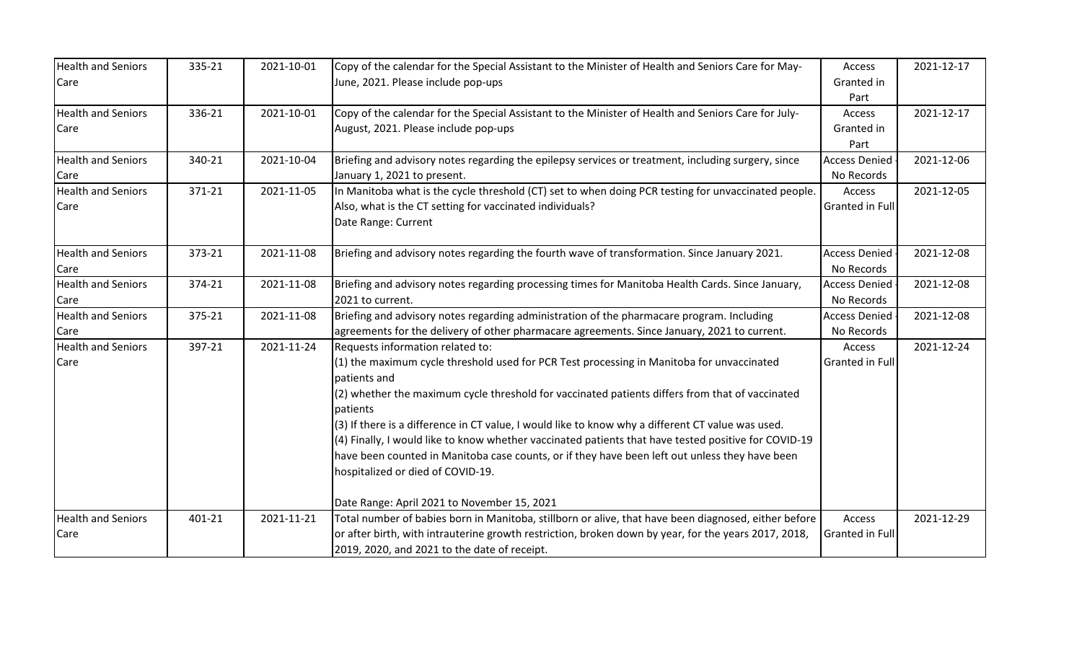| <b>Health and Seniors</b> | 335-21 | 2021-10-01 | Copy of the calendar for the Special Assistant to the Minister of Health and Seniors Care for May-   | Access               | 2021-12-17 |
|---------------------------|--------|------------|------------------------------------------------------------------------------------------------------|----------------------|------------|
| Care                      |        |            | June, 2021. Please include pop-ups                                                                   | Granted in           |            |
|                           |        |            |                                                                                                      | Part                 |            |
| <b>Health and Seniors</b> | 336-21 | 2021-10-01 | Copy of the calendar for the Special Assistant to the Minister of Health and Seniors Care for July-  | Access               | 2021-12-17 |
| Care                      |        |            | August, 2021. Please include pop-ups                                                                 | Granted in           |            |
|                           |        |            |                                                                                                      | Part                 |            |
| <b>Health and Seniors</b> | 340-21 | 2021-10-04 | Briefing and advisory notes regarding the epilepsy services or treatment, including surgery, since   | <b>Access Denied</b> | 2021-12-06 |
| Care                      |        |            | January 1, 2021 to present.                                                                          | No Records           |            |
| <b>Health and Seniors</b> | 371-21 | 2021-11-05 | In Manitoba what is the cycle threshold (CT) set to when doing PCR testing for unvaccinated people.  | Access               | 2021-12-05 |
| Care                      |        |            | Also, what is the CT setting for vaccinated individuals?                                             | Granted in Full      |            |
|                           |        |            | Date Range: Current                                                                                  |                      |            |
| <b>Health and Seniors</b> | 373-21 | 2021-11-08 | Briefing and advisory notes regarding the fourth wave of transformation. Since January 2021.         | <b>Access Denied</b> | 2021-12-08 |
| Care                      |        |            |                                                                                                      | No Records           |            |
| <b>Health and Seniors</b> | 374-21 | 2021-11-08 | Briefing and advisory notes regarding processing times for Manitoba Health Cards. Since January,     | <b>Access Denied</b> | 2021-12-08 |
| Care                      |        |            | 2021 to current.                                                                                     | No Records           |            |
| <b>Health and Seniors</b> | 375-21 | 2021-11-08 | Briefing and advisory notes regarding administration of the pharmacare program. Including            | <b>Access Denied</b> | 2021-12-08 |
| Care                      |        |            | agreements for the delivery of other pharmacare agreements. Since January, 2021 to current.          | No Records           |            |
| <b>Health and Seniors</b> | 397-21 | 2021-11-24 | Requests information related to:                                                                     | Access               | 2021-12-24 |
| Care                      |        |            | (1) the maximum cycle threshold used for PCR Test processing in Manitoba for unvaccinated            | Granted in Full      |            |
|                           |        |            | patients and                                                                                         |                      |            |
|                           |        |            | (2) whether the maximum cycle threshold for vaccinated patients differs from that of vaccinated      |                      |            |
|                           |        |            | patients                                                                                             |                      |            |
|                           |        |            | (3) If there is a difference in CT value, I would like to know why a different CT value was used.    |                      |            |
|                           |        |            | (4) Finally, I would like to know whether vaccinated patients that have tested positive for COVID-19 |                      |            |
|                           |        |            | have been counted in Manitoba case counts, or if they have been left out unless they have been       |                      |            |
|                           |        |            | hospitalized or died of COVID-19.                                                                    |                      |            |
|                           |        |            |                                                                                                      |                      |            |
|                           |        |            | Date Range: April 2021 to November 15, 2021                                                          |                      |            |
| <b>Health and Seniors</b> | 401-21 | 2021-11-21 | Total number of babies born in Manitoba, stillborn or alive, that have been diagnosed, either before | Access               | 2021-12-29 |
| Care                      |        |            | or after birth, with intrauterine growth restriction, broken down by year, for the years 2017, 2018, | Granted in Full      |            |
|                           |        |            | 2019, 2020, and 2021 to the date of receipt.                                                         |                      |            |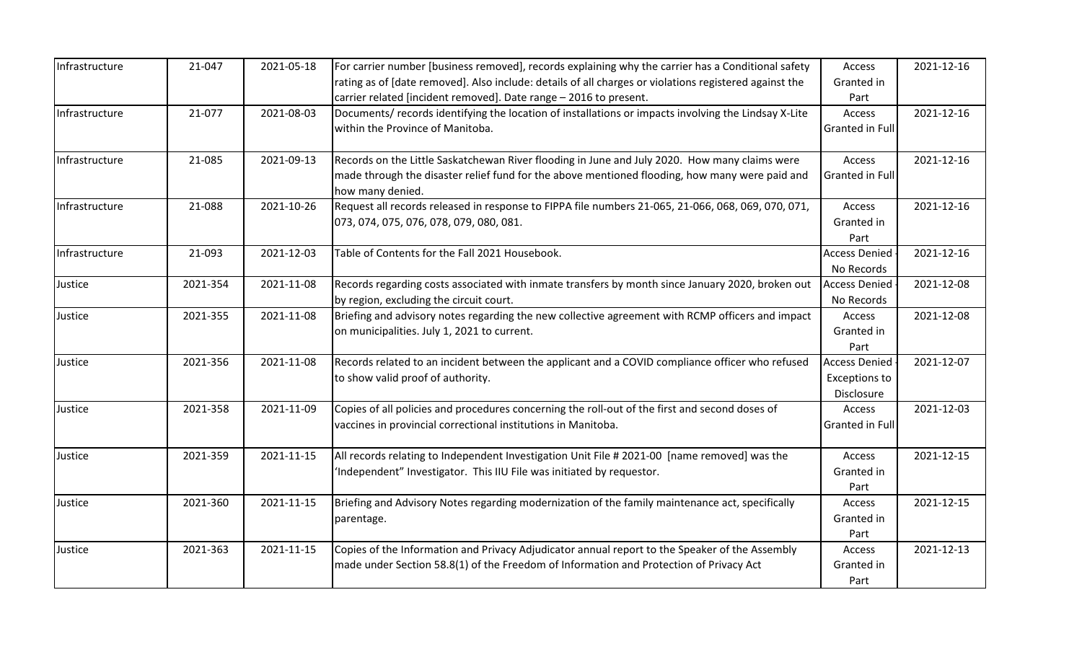| Infrastructure | 21-047   | 2021-05-18 | For carrier number [business removed], records explaining why the carrier has a Conditional safety<br>rating as of [date removed]. Also include: details of all charges or violations registered against the<br>carrier related [incident removed]. Date range - 2016 to present. | Access<br>Granted in<br>Part                               | 2021-12-16 |
|----------------|----------|------------|-----------------------------------------------------------------------------------------------------------------------------------------------------------------------------------------------------------------------------------------------------------------------------------|------------------------------------------------------------|------------|
| Infrastructure | 21-077   | 2021-08-03 | Documents/ records identifying the location of installations or impacts involving the Lindsay X-Lite<br>within the Province of Manitoba.                                                                                                                                          | Access<br>Granted in Full                                  | 2021-12-16 |
| Infrastructure | 21-085   | 2021-09-13 | Records on the Little Saskatchewan River flooding in June and July 2020. How many claims were<br>made through the disaster relief fund for the above mentioned flooding, how many were paid and<br>how many denied.                                                               | Access<br>Granted in Full                                  | 2021-12-16 |
| Infrastructure | 21-088   | 2021-10-26 | Request all records released in response to FIPPA file numbers 21-065, 21-066, 068, 069, 070, 071,<br>073, 074, 075, 076, 078, 079, 080, 081.                                                                                                                                     | Access<br>Granted in<br>Part                               | 2021-12-16 |
| Infrastructure | 21-093   | 2021-12-03 | Table of Contents for the Fall 2021 Housebook.                                                                                                                                                                                                                                    | <b>Access Denied</b><br>No Records                         | 2021-12-16 |
| Justice        | 2021-354 | 2021-11-08 | Records regarding costs associated with inmate transfers by month since January 2020, broken out<br>by region, excluding the circuit court.                                                                                                                                       | <b>Access Denied</b><br>No Records                         | 2021-12-08 |
| Justice        | 2021-355 | 2021-11-08 | Briefing and advisory notes regarding the new collective agreement with RCMP officers and impact<br>on municipalities. July 1, 2021 to current.                                                                                                                                   | Access<br>Granted in<br>Part                               | 2021-12-08 |
| Justice        | 2021-356 | 2021-11-08 | Records related to an incident between the applicant and a COVID compliance officer who refused<br>to show valid proof of authority.                                                                                                                                              | <b>Access Denied</b><br><b>Exceptions to</b><br>Disclosure | 2021-12-07 |
| Justice        | 2021-358 | 2021-11-09 | Copies of all policies and procedures concerning the roll-out of the first and second doses of<br>vaccines in provincial correctional institutions in Manitoba.                                                                                                                   | Access<br>Granted in Full                                  | 2021-12-03 |
| Justice        | 2021-359 | 2021-11-15 | All records relating to Independent Investigation Unit File # 2021-00 [name removed] was the<br>'Independent" Investigator. This IIU File was initiated by requestor.                                                                                                             | Access<br>Granted in<br>Part                               | 2021-12-15 |
| Justice        | 2021-360 | 2021-11-15 | Briefing and Advisory Notes regarding modernization of the family maintenance act, specifically<br>parentage.                                                                                                                                                                     | Access<br>Granted in<br>Part                               | 2021-12-15 |
| Justice        | 2021-363 | 2021-11-15 | Copies of the Information and Privacy Adjudicator annual report to the Speaker of the Assembly<br>made under Section 58.8(1) of the Freedom of Information and Protection of Privacy Act                                                                                          | Access<br>Granted in<br>Part                               | 2021-12-13 |